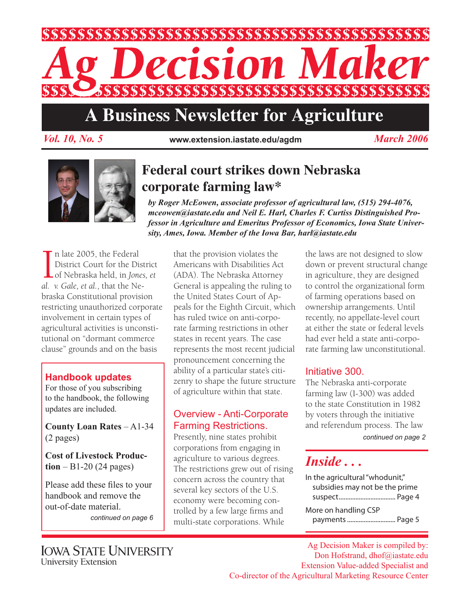

# **A Business Newsletter for Agriculture**

*Vol. 10, No. 5 March 2006* **www.extension.iastate.edu/agdm**



# **Federal court strikes down Nebraska corporate farming law\***

*by Roger McEowen, associate professor of agricultural law, (515) 294-4076, mceowen@iastate.edu and Neil E. Harl, Charles F. Curtiss Distinguished Professor in Agriculture and Emeritus Professor of Economics, Iowa State University, Ames, Iowa. Member of the Iowa Bar, harl@iastate.edu*

 $\prod_{a}$ n late 2005, the Federal District Court for the District of Nebraska held, in *Jones, et al. v. Gale, et al.*, that the Nebraska Constitutional provision restricting unauthorized corporate involvement in certain types of agricultural activities is unconstitutional on "dormant commerce clause" grounds and on the basis

### **Handbook updates**

For those of you subscribing to the handbook, the following updates are included.

**County Loan Rates** – A1-34 (2 pages)

**Cost of Livestock Production** – B1-20 (24 pages)

Please add these files to your handbook and remove the out-of-date material.

*continued on page 6*

that the provision violates the Americans with Disabilities Act (ADA). The Nebraska Attorney General is appealing the ruling to the United States Court of Appeals for the Eighth Circuit, which has ruled twice on anti-corporate farming restrictions in other states in recent years. The case represents the most recent judicial pronouncement concerning the ability of a particular state's citizenry to shape the future structure of agriculture within that state.

# Overview - Anti-Corporate Farming Restrictions.

Presently, nine states prohibit corporations from engaging in agriculture to various degrees. The restrictions grew out of rising concern across the country that several key sectors of the U.S. economy were becoming controlled by a few large firms and multi-state corporations. While

the laws are not designed to slow down or prevent structural change in agriculture, they are designed to control the organizational form of farming operations based on ownership arrangements. Until recently, no appellate-level court at either the state or federal levels had ever held a state anti-corporate farming law unconstitutional.

# Initiative 300.

The Nebraska anti-corporate farming law (I-300) was added to the state Constitution in 1982 by voters through the initiative and referendum process. The law

*continued on page 2*

# *Inside . . .*

In the agricultural "whodunit," subsidies may not be the prime suspect.................................. Page 4 More on handling CSP payments............................. Page 5

**IOWA STATE UNIVERSITY** University Extension

Ag Decision Maker is compiled by: Don Hofstrand, dhof@iastate.edu Extension Value-added Specialist and Co-director of the Agricultural Marketing Resource Center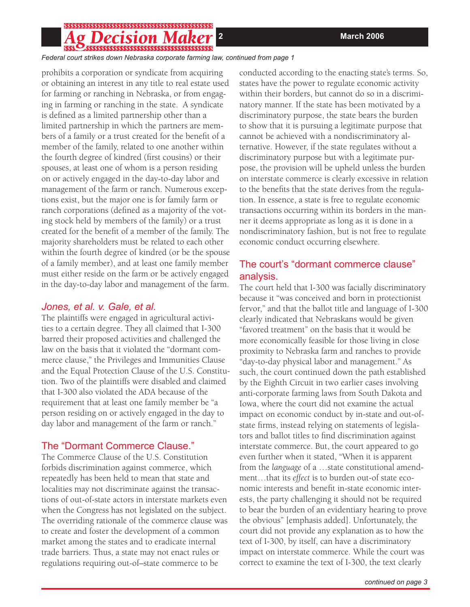# 

*Federal court strikes down Nebraska corporate farming law, continued from page 1*

prohibits a corporation or syndicate from acquiring or obtaining an interest in any title to real estate used for farming or ranching in Nebraska, or from engaging in farming or ranching in the state. A syndicate is defined as a limited partnership other than a limited partnership in which the partners are members of a family or a trust created for the benefit of a member of the family, related to one another within the fourth degree of kindred (first cousins) or their spouses, at least one of whom is a person residing on or actively engaged in the day-to-day labor and management of the farm or ranch. Numerous exceptions exist, but the major one is for family farm or ranch corporations (defined as a majority of the voting stock held by members of the family) or a trust created for the benefit of a member of the family. The majority shareholders must be related to each other within the fourth degree of kindred (or be the spouse of a family member), and at least one family member must either reside on the farm or be actively engaged in the day-to-day labor and management of the farm.

#### *Jones, et al. v. Gale, et al.*

The plaintiffs were engaged in agricultural activities to a certain degree. They all claimed that I-300 barred their proposed activities and challenged the law on the basis that it violated the "dormant commerce clause," the Privileges and Immunities Clause and the Equal Protection Clause of the U.S. Constitution. Two of the plaintiffs were disabled and claimed that I-300 also violated the ADA because of the requirement that at least one family member be "a person residing on or actively engaged in the day to day labor and management of the farm or ranch."

# The "Dormant Commerce Clause."

The Commerce Clause of the U.S. Constitution forbids discrimination against commerce, which repeatedly has been held to mean that state and localities may not discriminate against the transactions of out-of-state actors in interstate markets even when the Congress has not legislated on the subject. The overriding rationale of the commerce clause was to create and foster the development of a common market among the states and to eradicate internal trade barriers. Thus, a state may not enact rules or regulations requiring out-of–state commerce to be

conducted according to the enacting state's terms. So, states have the power to regulate economic activity within their borders, but cannot do so in a discriminatory manner. If the state has been motivated by a discriminatory purpose, the state bears the burden to show that it is pursuing a legitimate purpose that cannot be achieved with a nondiscriminatory alternative. However, if the state regulates without a discriminatory purpose but with a legitimate purpose, the provision will be upheld unless the burden on interstate commerce is clearly excessive in relation to the benefits that the state derives from the regulation. In essence, a state is free to regulate economic transactions occurring within its borders in the manner it deems appropriate as long as it is done in a nondiscriminatory fashion, but is not free to regulate economic conduct occurring elsewhere.

# The court's "dormant commerce clause" analysis.

The court held that I-300 was facially discriminatory because it "was conceived and born in protectionist fervor," and that the ballot title and language of I-300 clearly indicated that Nebraskans would be given "favored treatment" on the basis that it would be more economically feasible for those living in close proximity to Nebraska farm and ranches to provide "day-to-day physical labor and management." As such, the court continued down the path established by the Eighth Circuit in two earlier cases involving anti-corporate farming laws from South Dakota and Iowa, where the court did not examine the actual impact on economic conduct by in-state and out-ofstate firms, instead relying on statements of legislators and ballot titles to find discrimination against interstate commerce. But, the court appeared to go even further when it stated, "When it is apparent from the *language* of a …state constitutional amendment…that its *effect* is to burden out-of state economic interests and benefit in-state economic interests, the party challenging it should not be required to bear the burden of an evidentiary hearing to prove the obvious" [emphasis added]. Unfortunately, the court did not provide any explanation as to how the text of I-300, by itself, can have a discriminatory impact on interstate commerce. While the court was correct to examine the text of I-300, the text clearly